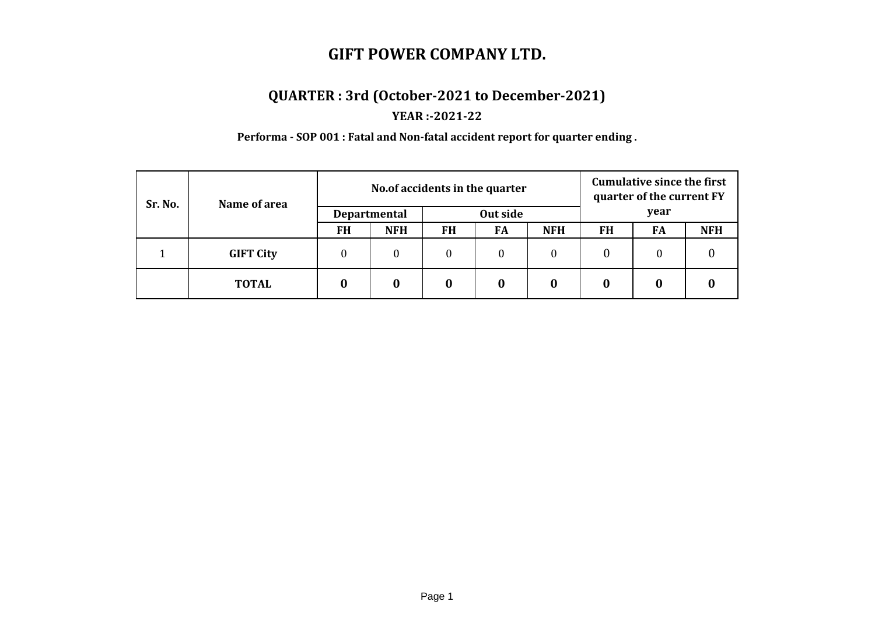## **QUARTER : 3rd (October-2021 to December-2021)**

#### **YEAR :-2021-22**

**Performa - SOP 001 : Fatal and Non-fatal accident report for quarter ending .**

| Sr. No. | Name of area     | No. of accidents in the quarter |                  |           |    |            | <b>Cumulative since the first</b><br>quarter of the current FY |    |            |
|---------|------------------|---------------------------------|------------------|-----------|----|------------|----------------------------------------------------------------|----|------------|
|         |                  | <b>Departmental</b>             |                  | Out side  |    |            | year                                                           |    |            |
|         |                  | <b>FH</b>                       | <b>NFH</b>       | <b>FH</b> | FA | <b>NFH</b> | <b>FH</b>                                                      | FA | <b>NFH</b> |
|         | <b>GIFT City</b> | $\boldsymbol{0}$                | $\boldsymbol{0}$ | $\theta$  | 0  | $\theta$   | $\boldsymbol{0}$                                               | 0  |            |
|         | <b>TOTAL</b>     |                                 | 0                |           | 0  | O          |                                                                |    |            |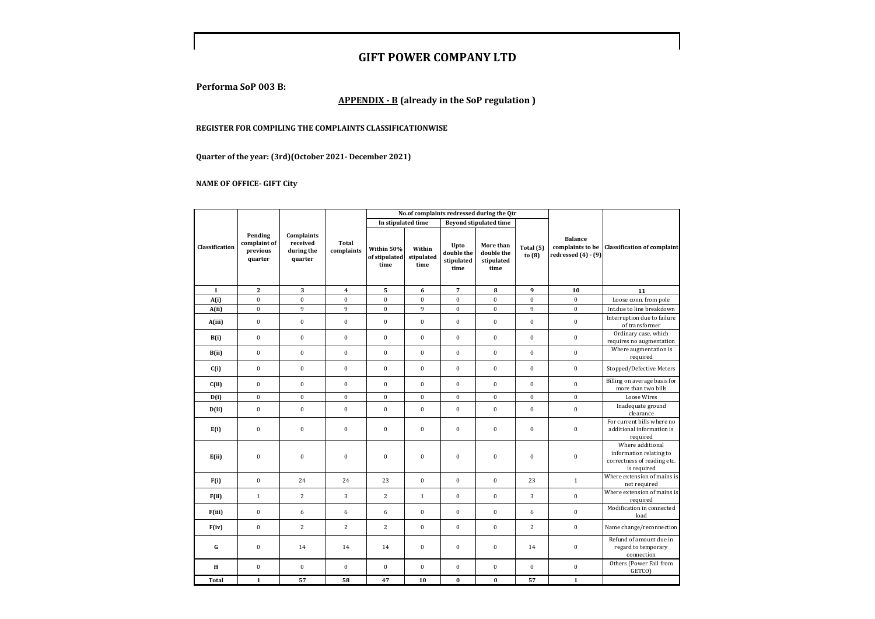**Performa SoP 003 B:**

#### **APPENDIX - B (already in the SoP regulation )**

#### **REGISTER FOR COMPILING THE COMPLAINTS CLASSIFICATIONWISE**

**Quarter of the year: (3rd)(October 2021- December 2021)**

#### **NAME OF OFFICE- GIFT City**

|                |                                                |                                                 |                            | No.of complaints redressed during the Qtr |                              |                                          |                                               |                       |                                                               |                                                                                           |
|----------------|------------------------------------------------|-------------------------------------------------|----------------------------|-------------------------------------------|------------------------------|------------------------------------------|-----------------------------------------------|-----------------------|---------------------------------------------------------------|-------------------------------------------------------------------------------------------|
|                |                                                |                                                 |                            | In stipulated time                        |                              |                                          | <b>Beyond stipulated time</b>                 |                       |                                                               |                                                                                           |
| Classification | Pending<br>complaint of<br>previous<br>quarter | Complaints<br>received<br>during the<br>quarter | <b>Total</b><br>complaints | Within 50%<br>of stipulated<br>time       | Within<br>stipulated<br>time | Upto<br>double the<br>stipulated<br>time | More than<br>double the<br>stipulated<br>time | Total (5)<br>to $(8)$ | <b>Balance</b><br>complaints to be<br>redressed $(4)$ - $(9)$ | <b>Classification of complaint</b>                                                        |
| $\mathbf{1}$   | $\bf 2$                                        | 3                                               | $\overline{\mathbf{4}}$    | 5                                         | $6\phantom{1}6$              | $\overline{7}$                           | 8                                             | 9                     | 10                                                            | 11                                                                                        |
| A(i)           | $\boldsymbol{0}$                               | $\bf{0}$                                        | $\boldsymbol{0}$           | $\bf{0}$                                  | $\boldsymbol{0}$             | $\bf{0}$                                 | $\boldsymbol{0}$                              | $\bf{0}$              | $\pmb{0}$                                                     | Loose conn. from pole                                                                     |
| A(ii)          | $\pmb{0}$                                      | 9                                               | 9                          | $\pmb{0}$                                 | 9                            | $\bf{0}$                                 | $\pmb{0}$                                     | 9                     | $\bf{0}$                                                      | Int.due to line breakdown                                                                 |
| A(iii)         | $\pmb{0}$                                      | $\bf{0}$                                        | $\pmb{0}$                  | $\mathbf{0}$                              | $\boldsymbol{0}$             | $\mathbf{0}$                             | $\pmb{0}$                                     | $\boldsymbol{0}$      | $\mathbf{0}$                                                  | Interruption due to failure<br>of transformer                                             |
| B(i)           | $\boldsymbol{0}$                               | $\boldsymbol{0}$                                | $\boldsymbol{0}$           | $\pmb{0}$                                 | $\boldsymbol{0}$             | $\bf{0}$                                 | $\pmb{0}$                                     | $\boldsymbol{0}$      | $\boldsymbol{0}$                                              | Ordinary case, which<br>requires no augmentation                                          |
| B(ii)          | $\bf{0}$                                       | $\boldsymbol{0}$                                | $\mathbf{0}$               | $\mathbf{0}$                              | $\boldsymbol{0}$             | $\mathbf{0}$                             | $\mathbf{0}$                                  | $\mathbf{0}$          | $\mathbf{0}$                                                  | Where augmentation is<br>required                                                         |
| C(i)           | $\boldsymbol{0}$                               | $\boldsymbol{0}$                                | $\boldsymbol{0}$           | $\boldsymbol{0}$                          | $\boldsymbol{0}$             | $\bf{0}$                                 | $\pmb{0}$                                     | $\boldsymbol{0}$      | $\boldsymbol{0}$                                              | Stopped/Defective Meters                                                                  |
| C(ii)          | $\bf{0}$                                       | $\mathbf{0}$                                    | $\mathbf{0}$               | $\mathbf{0}$                              | $\mathbf{0}$                 | $\mathbf{0}$                             | $\bf{0}$                                      | $\mathbf{0}$          | $\mathbf{0}$                                                  | Billing on average basis for<br>more than two bills                                       |
| D(i)           | $\boldsymbol{0}$                               | $\bf{0}$                                        | $\boldsymbol{0}$           | $\boldsymbol{0}$                          | $\boldsymbol{0}$             | $\bf{0}$                                 | $\boldsymbol{0}$                              | $\bf{0}$              | $\boldsymbol{0}$                                              | <b>Loose Wires</b>                                                                        |
| D(ii)          | $\pmb{0}$                                      | $\boldsymbol{0}$                                | $\mathbf{0}$               | $\mathbf{0}$                              | $\mathbf{0}$                 | $\bf{0}$                                 | $\pmb{0}$                                     | $\boldsymbol{0}$      | $\bf{0}$                                                      | Inadequate ground<br>clearance                                                            |
| E(i)           | $\boldsymbol{0}$                               | $\bf{0}$                                        | $\pmb{0}$                  | $\pmb{0}$                                 | $\bf{0}$                     | $\boldsymbol{0}$                         | $\pmb{0}$                                     | $\bf{0}$              | $\bf{0}$                                                      | For current bills where no<br>additional information is<br>required                       |
| E(ii)          | $\bf{0}$                                       | $\bf{0}$                                        | $\pmb{0}$                  | $\pmb{0}$                                 | $\boldsymbol{0}$             | $\boldsymbol{0}$                         | $\pmb{0}$                                     | $\bf{0}$              | $\bf{0}$                                                      | Where additional<br>information relating to<br>correctness of reading etc.<br>is required |
| F(i)           | $\pmb{0}$                                      | 24                                              | 24                         | 23                                        | $\mathbf{0}$                 | $\mathbf{0}$                             | $\pmb{0}$                                     | 23                    | $\mathbf{1}$                                                  | Where extension of mains is<br>not required                                               |
| F(ii)          | $\,1\,$                                        | $\overline{c}$                                  | $\sqrt{3}$                 | $\sqrt{2}$                                | $\,1\,$                      | $\bf{0}$                                 | $\boldsymbol{0}$                              | 3                     | $\bf{0}$                                                      | Where extension of mains is<br>required                                                   |
| F(iii)         | $\pmb{0}$                                      | 6                                               | 6                          | 6                                         | $\boldsymbol{0}$             | $\mathbf{0}$                             | $\pmb{0}$                                     | 6                     | $\mathbf{0}$                                                  | Modification in connected<br>load                                                         |
| F(iv)          | $\pmb{0}$                                      | $\overline{2}$                                  | $\sqrt{2}$                 | $\overline{c}$                            | $\boldsymbol{0}$             | $\bf{0}$                                 | $\pmb{0}$                                     | $\overline{c}$        | $\boldsymbol{0}$                                              | Name change/reconnection                                                                  |
| ${\bf G}$      | $\boldsymbol{0}$                               | 14                                              | 14                         | 14                                        | $\boldsymbol{0}$             | $\bf{0}$                                 | $\pmb{0}$                                     | 14                    | $\boldsymbol{0}$                                              | Refund of amount due in<br>regard to temporary<br>connection                              |
| $\bf H$        | $\boldsymbol{0}$                               | $\boldsymbol{0}$                                | $\pmb{0}$                  | $\pmb{0}$                                 | $\boldsymbol{0}$             | $\bf{0}$                                 | $\boldsymbol{0}$                              | $\bf{0}$              | $\boldsymbol{0}$                                              | Others (Power Fail from<br>GETCO)                                                         |
| Total          | $\mathbf 1$                                    | 57                                              | 58                         | 47                                        | 10                           | $\boldsymbol{0}$                         | $\pmb{0}$                                     | 57                    | $\mathbf 1$                                                   |                                                                                           |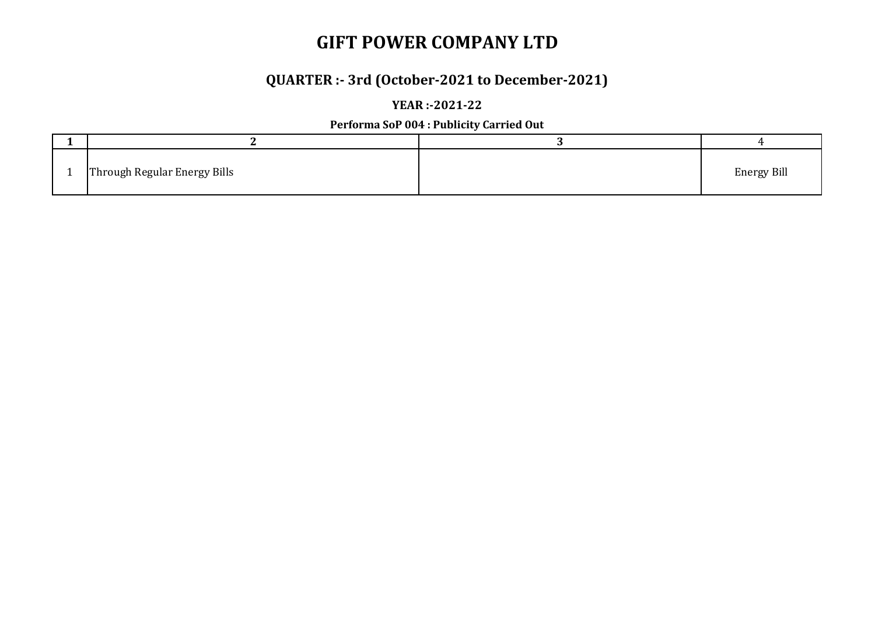# **QUARTER :- 3rd (October-2021 to December-2021)**

**YEAR :-2021-22**

**Performa SoP 004 : Publicity Carried Out**

| Through Regular Energy Bills | <b>Energy Bill</b> |
|------------------------------|--------------------|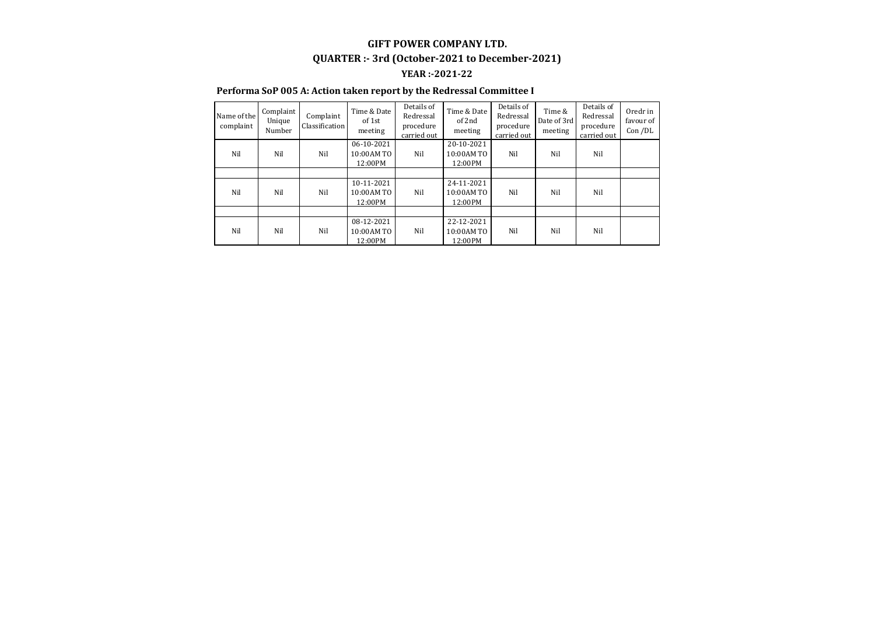#### **GIFT POWER COMPANY LTD. YEAR :-2021-22 QUARTER :- 3rd (October-2021 to December-2021)**

#### **Performa SoP 005 A: Action taken report by the Redressal Committee I**

| Name of the<br>complaint | Complaint<br>Unique<br>Number | Complaint<br>Classification | Time & Date<br>of 1st<br>meeting     | Details of<br>Redressal<br>procedure<br>carried out | Time & Date<br>of 2nd<br>meeting    | Details of<br>Redressal<br>procedure<br>carried out | Time &<br>Date of 3rd<br>meeting | Details of<br>Redressal<br>procedure<br>carried out | Oredr in<br>favour of<br>Con /DL |
|--------------------------|-------------------------------|-----------------------------|--------------------------------------|-----------------------------------------------------|-------------------------------------|-----------------------------------------------------|----------------------------------|-----------------------------------------------------|----------------------------------|
| Nil                      | Nil                           | Nil                         | 06-10-2021<br>10:00 AM TO<br>12:00PM | Nil                                                 | 20-10-2021<br>10:00AM TO<br>12:00PM | Nil                                                 | Nil                              | Nil                                                 |                                  |
|                          |                               |                             |                                      |                                                     |                                     |                                                     |                                  |                                                     |                                  |
| Nil                      | Nil                           | Nil                         | 10-11-2021<br>10:00 AM TO<br>12:00PM | Nil                                                 | 24-11-2021<br>10:00AM TO<br>12:00PM | Nil                                                 | Nil                              | Nil                                                 |                                  |
|                          |                               |                             |                                      |                                                     |                                     |                                                     |                                  |                                                     |                                  |
| Nil                      | Nil                           | Nil                         | 08-12-2021<br>10:00AM TO<br>12:00PM  | Nil                                                 | 22-12-2021<br>10:00AM TO<br>12:00PM | Nil                                                 | Nil                              | Nil                                                 |                                  |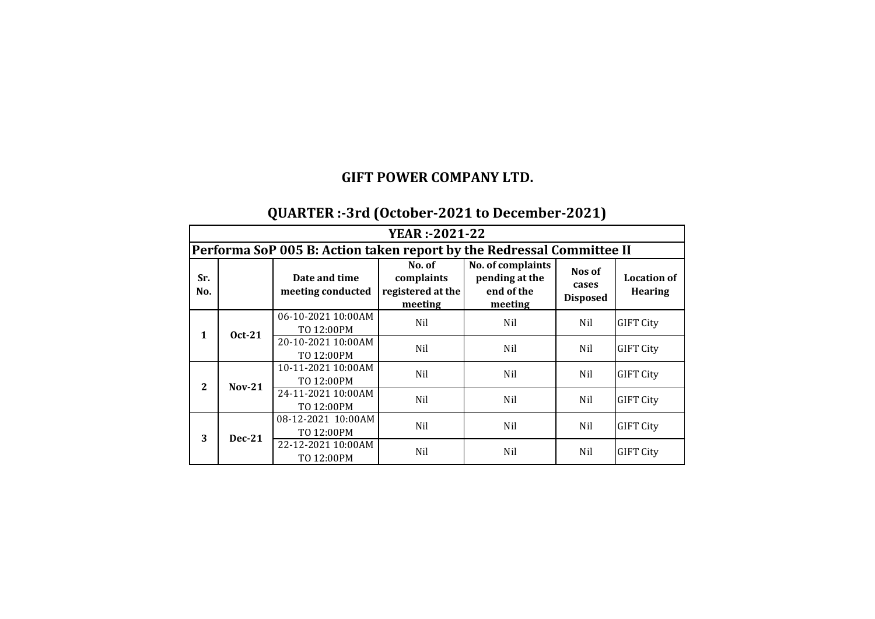# **QUARTER :-3rd (October-2021 to December-2021)**

|              | <b>YEAR</b> :-2021-22                                                 |                                    |                                                      |                                                              |                                    |                                      |  |  |  |
|--------------|-----------------------------------------------------------------------|------------------------------------|------------------------------------------------------|--------------------------------------------------------------|------------------------------------|--------------------------------------|--|--|--|
|              | Performa SoP 005 B: Action taken report by the Redressal Committee II |                                    |                                                      |                                                              |                                    |                                      |  |  |  |
| Sr.<br>No.   |                                                                       | Date and time<br>meeting conducted | No. of<br>complaints<br>registered at the<br>meeting | No. of complaints<br>pending at the<br>end of the<br>meeting | Nos of<br>cases<br><b>Disposed</b> | <b>Location of</b><br><b>Hearing</b> |  |  |  |
| $\mathbf{1}$ | <b>Oct-21</b>                                                         | 06-10-2021 10:00AM<br>TO 12:00PM   | Nil                                                  | Nil                                                          | Nil                                | <b>GIFT City</b>                     |  |  |  |
|              |                                                                       | 20-10-2021 10:00AM<br>TO 12:00PM   | Nil                                                  | Nil                                                          | Nil                                | <b>GIFT City</b>                     |  |  |  |
| $\mathbf{2}$ | $Nov-21$                                                              | 10-11-2021 10:00AM<br>TO 12:00PM   | Nil                                                  | Nil                                                          | Nil                                | <b>GIFT City</b>                     |  |  |  |
|              |                                                                       | 24-11-2021 10:00AM<br>TO 12:00PM   | Nil                                                  | Nil                                                          | Nil                                | <b>GIFT City</b>                     |  |  |  |
| 3            | $Dec-21$                                                              | 08-12-2021 10:00AM<br>TO 12:00PM   | Nil                                                  | Nil                                                          | Nil                                | <b>GIFT City</b>                     |  |  |  |
|              |                                                                       | 22-12-2021 10:00AM<br>TO 12:00PM   | Nil                                                  | Nil                                                          | Nil                                | <b>GIFT City</b>                     |  |  |  |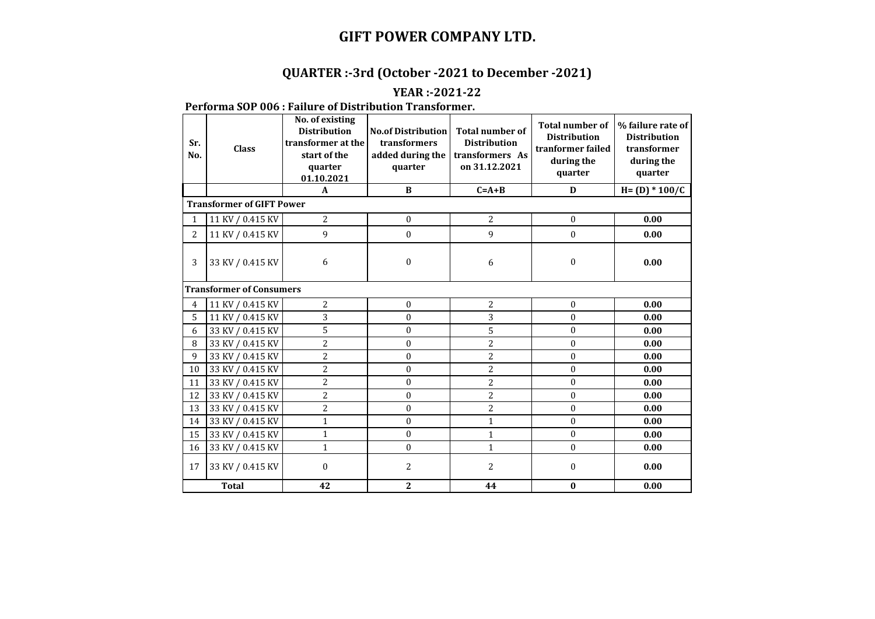## **QUARTER :-3rd (October -2021 to December -2021)**

#### **YEAR :-2021-22**

#### **Performa SOP 006 : Failure of Distribution Transformer.**

| Sr.<br>No.     | <b>Class</b>                     | No. of existing<br><b>Distribution</b><br>transformer at the<br>start of the<br>quarter<br>01.10.2021 | <b>No.of Distribution</b><br>transformers<br>added during the<br>quarter | <b>Total number of</b><br><b>Distribution</b><br>transformers As<br>on 31.12.2021 | <b>Total number of</b><br><b>Distribution</b><br>tranformer failed<br>during the<br>quarter | % failure rate of<br><b>Distribution</b><br>transformer<br>during the<br>quarter |
|----------------|----------------------------------|-------------------------------------------------------------------------------------------------------|--------------------------------------------------------------------------|-----------------------------------------------------------------------------------|---------------------------------------------------------------------------------------------|----------------------------------------------------------------------------------|
|                |                                  | $\mathbf{A}$                                                                                          | B                                                                        | $C = A + B$                                                                       | D                                                                                           | $H = (D) * 100/C$                                                                |
|                | <b>Transformer of GIFT Power</b> |                                                                                                       |                                                                          |                                                                                   |                                                                                             |                                                                                  |
| $\mathbf{1}$   | 11 KV / 0.415 KV                 | $\overline{2}$                                                                                        | $\Omega$                                                                 | $\overline{c}$                                                                    | $\Omega$                                                                                    | 0.00                                                                             |
| $\mathbf{2}$   | 11 KV / 0.415 KV                 | 9                                                                                                     | $\boldsymbol{0}$                                                         | 9                                                                                 | $\boldsymbol{0}$                                                                            | 0.00                                                                             |
| 3              | 33 KV / 0.415 KV                 | 6                                                                                                     | $\mathbf{0}$                                                             | 6                                                                                 | $\mathbf{0}$                                                                                | 0.00                                                                             |
|                | <b>Transformer of Consumers</b>  |                                                                                                       |                                                                          |                                                                                   |                                                                                             |                                                                                  |
| $\overline{4}$ | 11 KV / 0.415 KV                 | $\overline{2}$                                                                                        | $\mathbf{0}$                                                             | 2                                                                                 | $\boldsymbol{0}$                                                                            | 0.00                                                                             |
| 5              | 11 KV / 0.415 KV                 | 3                                                                                                     | $\mathbf{0}$                                                             | 3                                                                                 | $\mathbf{0}$                                                                                | 0.00                                                                             |
| 6              | 33 KV / 0.415 KV                 | 5                                                                                                     | $\theta$                                                                 | 5                                                                                 | $\theta$                                                                                    | 0.00                                                                             |
| 8              | 33 KV / 0.415 KV                 | $\overline{2}$                                                                                        | $\mathbf{0}$                                                             | 2                                                                                 | $\mathbf{0}$                                                                                | 0.00                                                                             |
| 9              | 33 KV / 0.415 KV                 | $\overline{c}$                                                                                        | $\mathbf{0}$                                                             | 2                                                                                 | $\mathbf{0}$                                                                                | 0.00                                                                             |
| 10             | 33 KV / 0.415 KV                 | $\overline{c}$                                                                                        | $\Omega$                                                                 | $\overline{2}$                                                                    | $\boldsymbol{0}$                                                                            | 0.00                                                                             |
| 11             | 33 KV / 0.415 KV                 | 2                                                                                                     | $\theta$                                                                 | $\overline{2}$                                                                    | $\mathbf{0}$                                                                                | 0.00                                                                             |
| 12             | 33 KV / 0.415 KV                 | 2                                                                                                     | $\boldsymbol{0}$                                                         | $\overline{c}$                                                                    | $\mathbf{0}$                                                                                | 0.00                                                                             |
| 13             | 33 KV / 0.415 KV                 | $\overline{c}$                                                                                        | $\mathbf{0}$                                                             | $\overline{c}$                                                                    | $\mathbf{0}$                                                                                | 0.00                                                                             |
| 14             | 33 KV / 0.415 KV                 | $\mathbf{1}$                                                                                          | $\Omega$                                                                 | $\mathbf{1}$                                                                      | $\theta$                                                                                    | 0.00                                                                             |
| 15             | 33 KV / 0.415 KV                 | $\mathbf{1}$                                                                                          | $\mathbf{0}$                                                             | $\mathbf{1}$                                                                      | $\boldsymbol{0}$                                                                            | 0.00                                                                             |
| 16             | 33 KV / 0.415 KV                 | $\mathbf{1}$                                                                                          | $\mathbf{0}$                                                             | $\mathbf{1}$                                                                      | $\theta$                                                                                    | 0.00                                                                             |
| 17             | 33 KV / 0.415 KV                 | $\mathbf{0}$                                                                                          | $\overline{2}$                                                           | $\overline{2}$                                                                    | $\boldsymbol{0}$                                                                            | 0.00                                                                             |
|                | <b>Total</b>                     | 42                                                                                                    | $\overline{2}$                                                           | 44                                                                                | $\bf{0}$                                                                                    | 0.00                                                                             |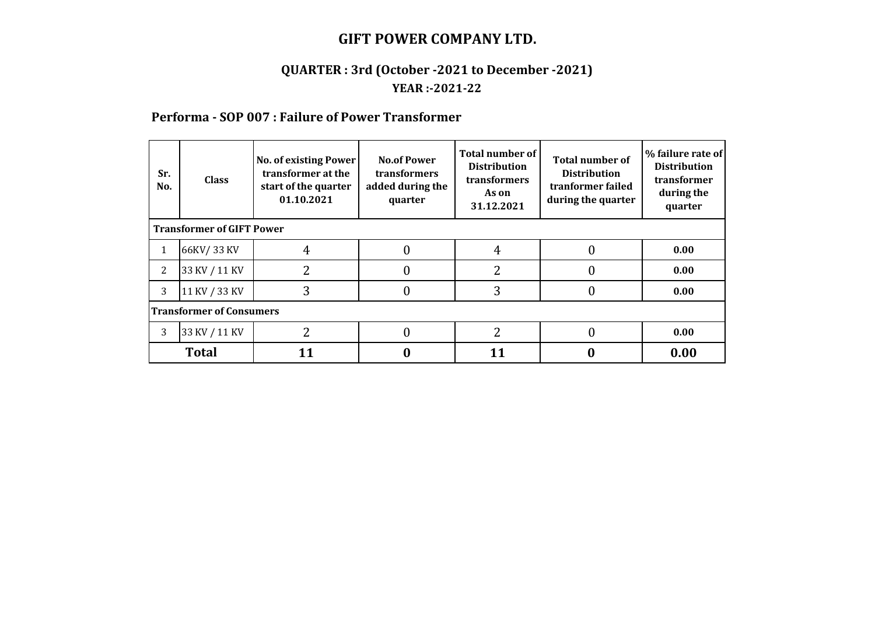#### **QUARTER : 3rd (October -2021 to December -2021) YEAR :-2021-22**

#### **Performa - SOP 007 : Failure of Power Transformer**

| Sr.<br>No. | <b>Class</b>                     | <b>No. of existing Power</b><br>transformer at the<br>start of the quarter<br>01.10.2021 | <b>No.of Power</b><br>transformers<br>added during the<br>quarter | Total number of<br><b>Distribution</b><br>transformers<br>As on<br>31.12.2021 | <b>Total number of</b><br><b>Distribution</b><br>tranformer failed<br>during the quarter | % failure rate of<br><b>Distribution</b><br>transformer<br>during the<br>quarter |  |  |  |
|------------|----------------------------------|------------------------------------------------------------------------------------------|-------------------------------------------------------------------|-------------------------------------------------------------------------------|------------------------------------------------------------------------------------------|----------------------------------------------------------------------------------|--|--|--|
|            | <b>Transformer of GIFT Power</b> |                                                                                          |                                                                   |                                                                               |                                                                                          |                                                                                  |  |  |  |
| 1          | 66KV/33 KV                       | $\overline{4}$                                                                           |                                                                   | 4                                                                             | 0                                                                                        | 0.00                                                                             |  |  |  |
| 2          | 33 KV / 11 KV                    | 2                                                                                        | 0                                                                 | 2                                                                             | 0                                                                                        | 0.00                                                                             |  |  |  |
| 3          | 11 KV / 33 KV                    | 3                                                                                        |                                                                   | 3                                                                             | 0                                                                                        | 0.00                                                                             |  |  |  |
|            | <b>Transformer of Consumers</b>  |                                                                                          |                                                                   |                                                                               |                                                                                          |                                                                                  |  |  |  |
| 3          | 33 KV / 11 KV                    | 2                                                                                        |                                                                   | າ                                                                             | 0                                                                                        | 0.00                                                                             |  |  |  |
|            | <b>Total</b>                     |                                                                                          |                                                                   |                                                                               |                                                                                          | 0.00                                                                             |  |  |  |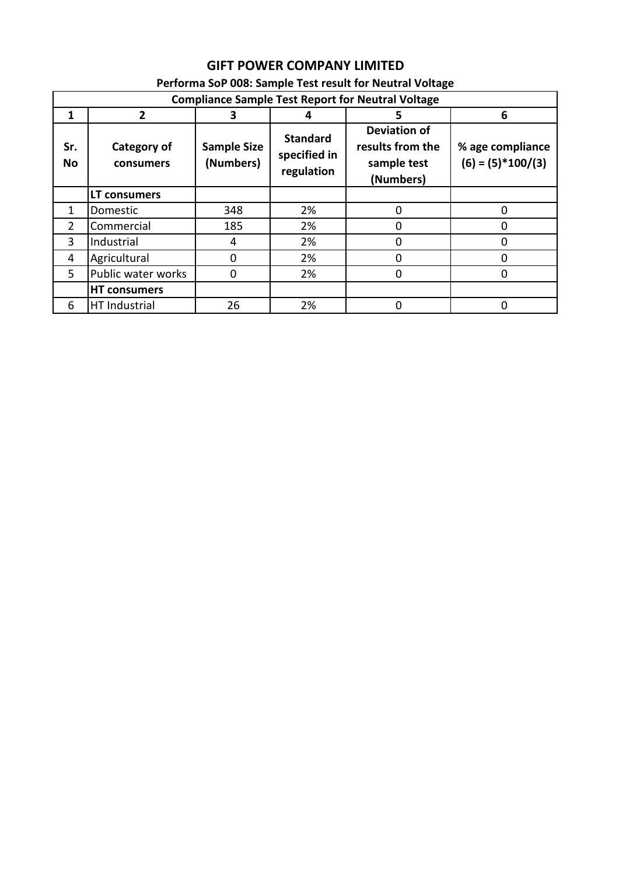## **GIFT POWER COMPANY LIMITED**

|                  | <b>Compliance Sample Test Report for Neutral Voltage</b> |                                 |                                               |                                                                     |                                         |  |  |  |  |  |
|------------------|----------------------------------------------------------|---------------------------------|-----------------------------------------------|---------------------------------------------------------------------|-----------------------------------------|--|--|--|--|--|
| 1                | $\overline{2}$                                           | З                               |                                               |                                                                     | 6                                       |  |  |  |  |  |
| Sr.<br><b>No</b> | Category of<br>consumers                                 | <b>Sample Size</b><br>(Numbers) | <b>Standard</b><br>specified in<br>regulation | <b>Deviation of</b><br>results from the<br>sample test<br>(Numbers) | % age compliance<br>$(6) = (5)*100/(3)$ |  |  |  |  |  |
|                  | <b>LT consumers</b>                                      |                                 |                                               |                                                                     |                                         |  |  |  |  |  |
| $\mathbf{1}$     | Domestic                                                 | 348                             | 2%                                            | 0                                                                   | 0                                       |  |  |  |  |  |
| $\overline{2}$   | Commercial                                               | 185                             | 2%                                            | 0                                                                   |                                         |  |  |  |  |  |
| 3                | Industrial                                               | 4                               | 2%                                            | O                                                                   |                                         |  |  |  |  |  |
| 4                | Agricultural                                             | $\Omega$                        | 2%                                            | 0                                                                   | 0                                       |  |  |  |  |  |
| 5                | Public water works                                       | 0                               | 2%                                            | 0                                                                   | 0                                       |  |  |  |  |  |
|                  | <b>HT consumers</b>                                      |                                 |                                               |                                                                     |                                         |  |  |  |  |  |
| 6                | HT Industrial                                            | 26                              | 2%                                            | 0                                                                   | Ω                                       |  |  |  |  |  |

#### **Performa SoP 008: Sample Test result for Neutral Voltage**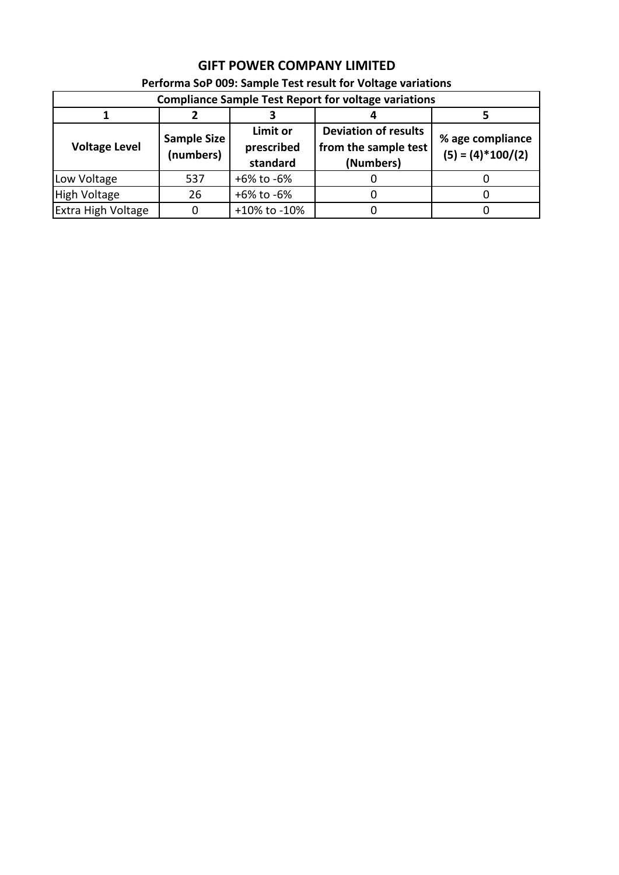| Performa SoP 009: Sample Test result for Voltage variations |                                                             |                                    |                                                                  |                                         |  |  |  |  |
|-------------------------------------------------------------|-------------------------------------------------------------|------------------------------------|------------------------------------------------------------------|-----------------------------------------|--|--|--|--|
|                                                             | <b>Compliance Sample Test Report for voltage variations</b> |                                    |                                                                  |                                         |  |  |  |  |
|                                                             |                                                             |                                    |                                                                  |                                         |  |  |  |  |
| Sample Size<br><b>Voltage Level</b><br>(numbers)            |                                                             | Limit or<br>prescribed<br>standard | <b>Deviation of results</b><br>from the sample test<br>(Numbers) | % age compliance<br>$(5) = (4)*100/(2)$ |  |  |  |  |
| Low Voltage                                                 | 537                                                         | +6% to -6%                         |                                                                  |                                         |  |  |  |  |
| <b>High Voltage</b>                                         | 26                                                          | +6% to -6%                         |                                                                  |                                         |  |  |  |  |
| <b>Extra High Voltage</b>                                   |                                                             | +10% to -10%                       |                                                                  |                                         |  |  |  |  |

## **GIFT POWER COMPANY LIMITED**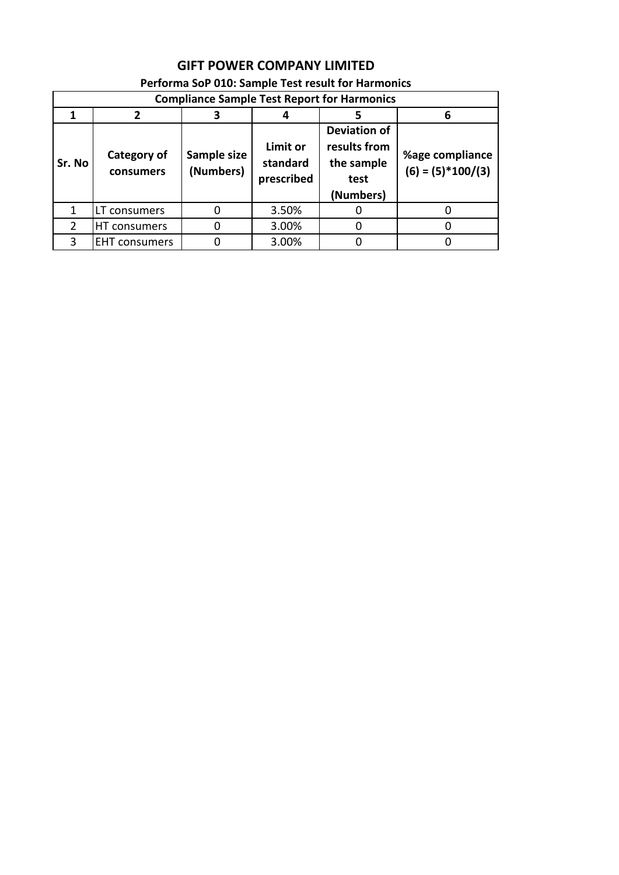| <b>Compliance Sample Test Report for Harmonics</b> |                          |                          |                                    |                                                                        |                                        |  |  |  |
|----------------------------------------------------|--------------------------|--------------------------|------------------------------------|------------------------------------------------------------------------|----------------------------------------|--|--|--|
|                                                    | 3                        |                          |                                    | 6                                                                      |                                        |  |  |  |
| Sr. No                                             | Category of<br>consumers | Sample size<br>(Numbers) | Limit or<br>standard<br>prescribed | <b>Deviation of</b><br>results from<br>the sample<br>test<br>(Numbers) | %age compliance<br>$(6) = (5)*100/(3)$ |  |  |  |
|                                                    |                          |                          |                                    |                                                                        |                                        |  |  |  |
| 1                                                  | LT consumers             | 0                        | 3.50%                              |                                                                        |                                        |  |  |  |
| $\mathcal{P}$                                      | HT consumers             | 0                        | 3.00%                              |                                                                        |                                        |  |  |  |
| ς                                                  | <b>EHT</b> consumers     |                          | 3.00%                              |                                                                        |                                        |  |  |  |

#### **Performa SoP 010: Sample Test result for Harmonics**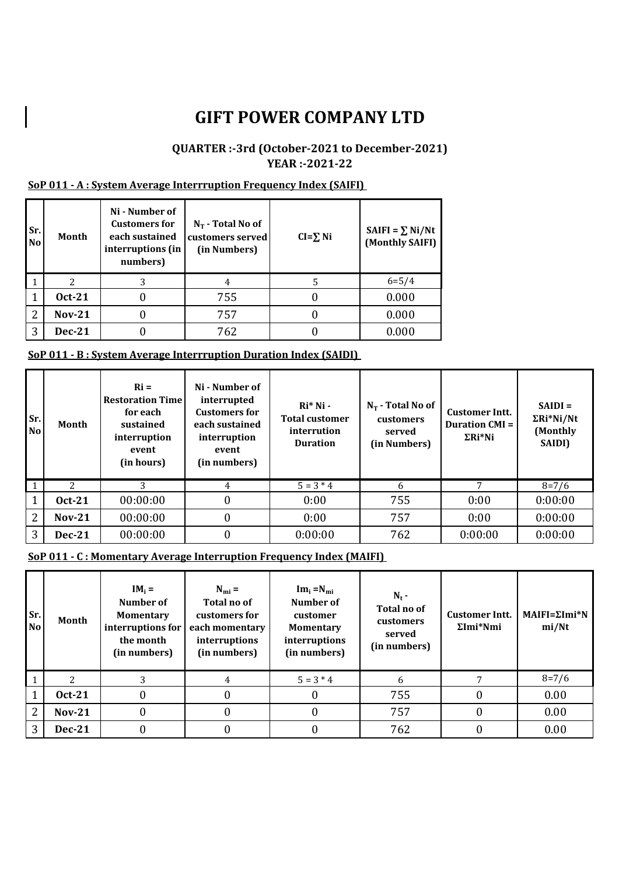#### **QUARTER :-3rd (October-2021 to December-2021) YEAR :-2021-22**

#### **SoP 011 - A : System Average Interrruption Frequency Index (SAIFI)**

| Sr.<br><b>No</b> | Month         | Ni - Number of<br><b>Customers for</b><br>each sustained<br>interruptions (in<br>numbers) | $N_T$ - Total No of<br>customers served<br>(in Numbers) | $CI = \sum Ni$ | SAIFI = $\Sigma$ Ni/Nt<br>(Monthly SAIFI) |
|------------------|---------------|-------------------------------------------------------------------------------------------|---------------------------------------------------------|----------------|-------------------------------------------|
|                  | 2             |                                                                                           | 4                                                       | 5              | $6 = 5/4$                                 |
|                  | <b>Oct-21</b> |                                                                                           | 755                                                     |                | 0.000                                     |
| 2                | <b>Nov-21</b> |                                                                                           | 757                                                     |                | 0.000                                     |
| 3                | <b>Dec-21</b> |                                                                                           | 762                                                     |                | 0.000                                     |

#### **SoP 011 - B : System Average Interrruption Duration Index (SAIDI)**

| Sr.<br><b>No</b> | Month         | $\mathbf{R}$ i =<br><b>Restoration Time</b><br>for each<br>sustained<br>interruption<br>event<br>(in hours) | Ni - Number of<br>interrupted<br><b>Customers for</b><br>each sustained<br>interruption<br>event<br>(in numbers) | $Ri^*$ Ni -<br><b>Total customer</b><br>interrution<br><b>Duration</b> | $N_T$ - Total No of<br>customers<br>served<br>(in Numbers) | <b>Customer Intt.</b><br><b>Duration CMI =</b><br>$\Sigma Ri^*Ni$ | $SAIDI =$<br>$\Sigma Ri^*Ni/Nt$<br>(Monthly<br><b>SAIDI)</b> |
|------------------|---------------|-------------------------------------------------------------------------------------------------------------|------------------------------------------------------------------------------------------------------------------|------------------------------------------------------------------------|------------------------------------------------------------|-------------------------------------------------------------------|--------------------------------------------------------------|
|                  |               |                                                                                                             | 4                                                                                                                | $5 = 3 * 4$                                                            | 6                                                          | 7                                                                 | $8 = 7/6$                                                    |
|                  | <b>Oct-21</b> | 00:00:00                                                                                                    | $\boldsymbol{0}$                                                                                                 | 0:00                                                                   | 755                                                        | 0:00                                                              | 0:00:00                                                      |
| 2                | $Nov-21$      | 00:00:00                                                                                                    | $\boldsymbol{0}$                                                                                                 | 0:00                                                                   | 757                                                        | 0:00                                                              | 0:00:00                                                      |
| 3                | <b>Dec-21</b> | 00:00:00                                                                                                    | $\boldsymbol{0}$                                                                                                 | 0:00:00                                                                | 762                                                        | 0:00:00                                                           | 0:00:00                                                      |

**SoP 011 - C : Momentary Average Interruption Frequency Index (MAIFI)** 

| Sr.<br>N <sub>o</sub> | Month          | $IM_i =$<br>Number of<br><b>Momentary</b><br>interruptions for<br>the month<br>(in numbers) | $N_{\rm mi} =$<br>Total no of<br>customers for<br>each momentary<br>interruptions<br>(in numbers) | $Im_i = N_{mi}$<br>Number of<br>customer<br><b>Momentary</b><br>interruptions<br>(in numbers) | $N_t$ -<br>Total no of<br>customers<br>served<br>(in numbers) | <b>Customer Intt.</b><br>$\Sigma$ Imi*Nmi | $MAIFI = \Sigma Imi*N$<br>mi/Nt |
|-----------------------|----------------|---------------------------------------------------------------------------------------------|---------------------------------------------------------------------------------------------------|-----------------------------------------------------------------------------------------------|---------------------------------------------------------------|-------------------------------------------|---------------------------------|
|                       | $\overline{2}$ |                                                                                             | 4                                                                                                 | $5 = 3 * 4$                                                                                   | 6                                                             |                                           | $8 = 7/6$                       |
|                       | <b>Oct-21</b>  |                                                                                             |                                                                                                   |                                                                                               | 755                                                           |                                           | 0.00                            |
| 2                     | <b>Nov-21</b>  |                                                                                             |                                                                                                   |                                                                                               | 757                                                           | 0                                         | 0.00                            |
| 3                     | <b>Dec-21</b>  |                                                                                             |                                                                                                   |                                                                                               | 762                                                           | 0                                         | 0.00                            |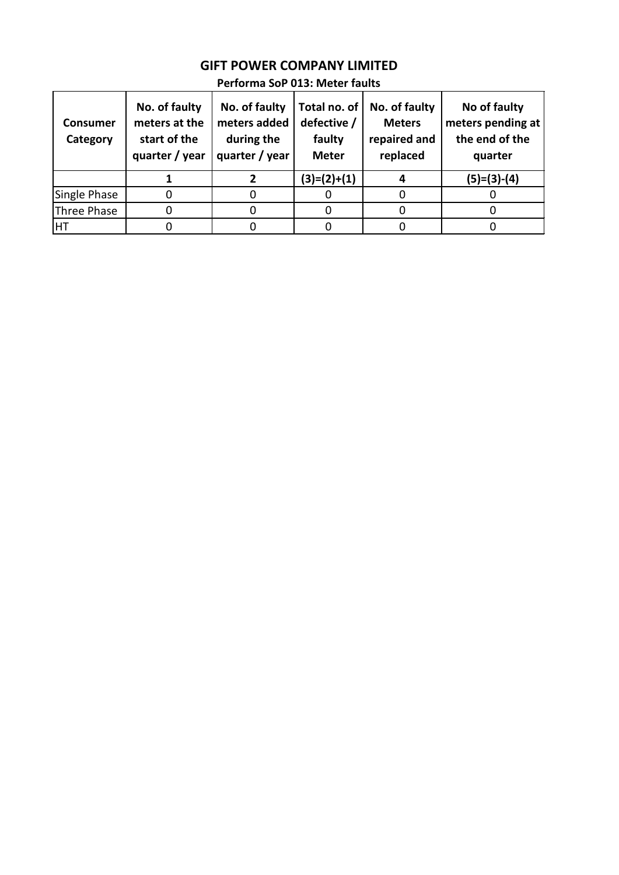| <b>Consumer</b><br>Category | No. of faulty<br>meters at the<br>start of the<br>quarter / year | No. of faulty<br>meters added<br>during the<br>quarter / year | Total no. of<br>defective /<br>faulty<br><b>Meter</b> | No. of faulty<br><b>Meters</b><br>repaired and<br>replaced | No of faulty<br>meters pending at<br>the end of the<br>quarter |
|-----------------------------|------------------------------------------------------------------|---------------------------------------------------------------|-------------------------------------------------------|------------------------------------------------------------|----------------------------------------------------------------|
|                             |                                                                  |                                                               | $(3)=(2)+(1)$                                         |                                                            | $(5)=(3)-(4)$                                                  |
| Single Phase                |                                                                  |                                                               |                                                       |                                                            |                                                                |
| Three Phase                 |                                                                  |                                                               |                                                       |                                                            |                                                                |
| HT                          |                                                                  |                                                               |                                                       |                                                            |                                                                |

#### **GIFT POWER COMPANY LIMITED Performa SoP 013: Meter faults**